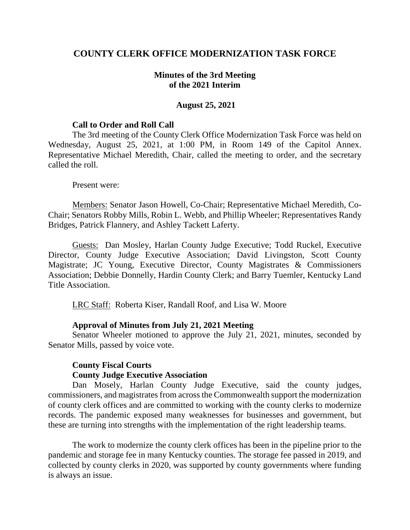## **COUNTY CLERK OFFICE MODERNIZATION TASK FORCE**

### **Minutes of the 3rd Meeting of the 2021 Interim**

#### **August 25, 2021**

#### **Call to Order and Roll Call**

The 3rd meeting of the County Clerk Office Modernization Task Force was held on Wednesday, August 25, 2021, at 1:00 PM, in Room 149 of the Capitol Annex. Representative Michael Meredith, Chair, called the meeting to order, and the secretary called the roll.

Present were:

Members: Senator Jason Howell, Co-Chair; Representative Michael Meredith, Co-Chair; Senators Robby Mills, Robin L. Webb, and Phillip Wheeler; Representatives Randy Bridges, Patrick Flannery, and Ashley Tackett Laferty.

Guests: Dan Mosley, Harlan County Judge Executive; Todd Ruckel, Executive Director, County Judge Executive Association; David Livingston, Scott County Magistrate; JC Young, Executive Director, County Magistrates & Commissioners Association; Debbie Donnelly, Hardin County Clerk; and Barry Tuemler, Kentucky Land Title Association.

LRC Staff: Roberta Kiser, Randall Roof, and Lisa W. Moore

#### **Approval of Minutes from July 21, 2021 Meeting**

Senator Wheeler motioned to approve the July 21, 2021, minutes, seconded by Senator Mills, passed by voice vote.

### **County Fiscal Courts County Judge Executive Association**

Dan Mosely, Harlan County Judge Executive, said the county judges, commissioners, and magistrates from acrossthe Commonwealth support the modernization of county clerk offices and are committed to working with the county clerks to modernize records. The pandemic exposed many weaknesses for businesses and government, but these are turning into strengths with the implementation of the right leadership teams.

The work to modernize the county clerk offices has been in the pipeline prior to the pandemic and storage fee in many Kentucky counties. The storage fee passed in 2019, and collected by county clerks in 2020, was supported by county governments where funding is always an issue.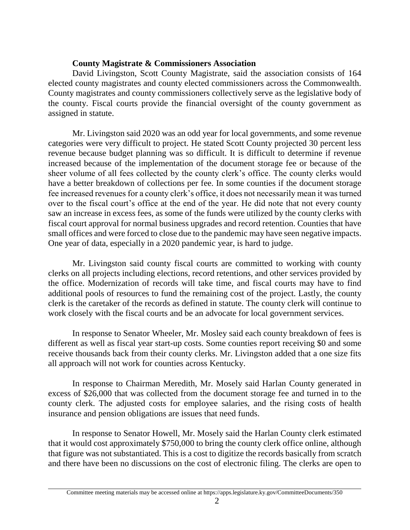## **County Magistrate & Commissioners Association**

David Livingston, Scott County Magistrate, said the association consists of 164 elected county magistrates and county elected commissioners across the Commonwealth. County magistrates and county commissioners collectively serve as the legislative body of the county. Fiscal courts provide the financial oversight of the county government as assigned in statute.

Mr. Livingston said 2020 was an odd year for local governments, and some revenue categories were very difficult to project. He stated Scott County projected 30 percent less revenue because budget planning was so difficult. It is difficult to determine if revenue increased because of the implementation of the document storage fee or because of the sheer volume of all fees collected by the county clerk's office. The county clerks would have a better breakdown of collections per fee. In some counties if the document storage fee increased revenues for a county clerk's office, it does not necessarily mean it was turned over to the fiscal court's office at the end of the year. He did note that not every county saw an increase in excess fees, as some of the funds were utilized by the county clerks with fiscal court approval for normal business upgrades and record retention. Counties that have small offices and were forced to close due to the pandemic may have seen negative impacts. One year of data, especially in a 2020 pandemic year, is hard to judge.

Mr. Livingston said county fiscal courts are committed to working with county clerks on all projects including elections, record retentions, and other services provided by the office. Modernization of records will take time, and fiscal courts may have to find additional pools of resources to fund the remaining cost of the project. Lastly, the county clerk is the caretaker of the records as defined in statute. The county clerk will continue to work closely with the fiscal courts and be an advocate for local government services.

In response to Senator Wheeler, Mr. Mosley said each county breakdown of fees is different as well as fiscal year start-up costs. Some counties report receiving \$0 and some receive thousands back from their county clerks. Mr. Livingston added that a one size fits all approach will not work for counties across Kentucky.

In response to Chairman Meredith, Mr. Mosely said Harlan County generated in excess of \$26,000 that was collected from the document storage fee and turned in to the county clerk. The adjusted costs for employee salaries, and the rising costs of health insurance and pension obligations are issues that need funds.

In response to Senator Howell, Mr. Mosely said the Harlan County clerk estimated that it would cost approximately \$750,000 to bring the county clerk office online, although that figure was not substantiated. This is a cost to digitize the records basically from scratch and there have been no discussions on the cost of electronic filing. The clerks are open to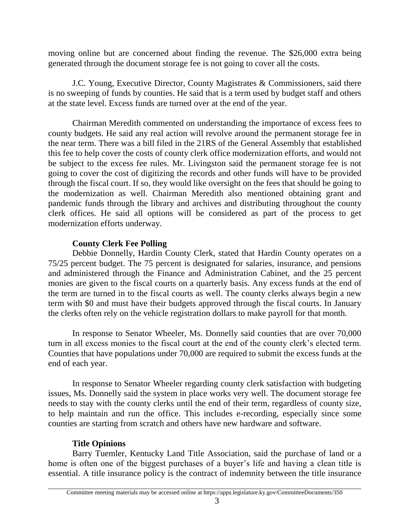moving online but are concerned about finding the revenue. The \$26,000 extra being generated through the document storage fee is not going to cover all the costs.

J.C. Young, Executive Director, County Magistrates & Commissioners, said there is no sweeping of funds by counties. He said that is a term used by budget staff and others at the state level. Excess funds are turned over at the end of the year.

Chairman Meredith commented on understanding the importance of excess fees to county budgets. He said any real action will revolve around the permanent storage fee in the near term. There was a bill filed in the 21RS of the General Assembly that established this fee to help cover the costs of county clerk office modernization efforts, and would not be subject to the excess fee rules. Mr. Livingston said the permanent storage fee is not going to cover the cost of digitizing the records and other funds will have to be provided through the fiscal court. If so, they would like oversight on the fees that should be going to the modernization as well. Chairman Meredith also mentioned obtaining grant and pandemic funds through the library and archives and distributing throughout the county clerk offices. He said all options will be considered as part of the process to get modernization efforts underway.

## **County Clerk Fee Polling**

Debbie Donnelly, Hardin County Clerk, stated that Hardin County operates on a 75/25 percent budget. The 75 percent is designated for salaries, insurance, and pensions and administered through the Finance and Administration Cabinet, and the 25 percent monies are given to the fiscal courts on a quarterly basis. Any excess funds at the end of the term are turned in to the fiscal courts as well. The county clerks always begin a new term with \$0 and must have their budgets approved through the fiscal courts. In January the clerks often rely on the vehicle registration dollars to make payroll for that month.

In response to Senator Wheeler, Ms. Donnelly said counties that are over 70,000 turn in all excess monies to the fiscal court at the end of the county clerk's elected term. Counties that have populations under 70,000 are required to submit the excess funds at the end of each year.

In response to Senator Wheeler regarding county clerk satisfaction with budgeting issues, Ms. Donnelly said the system in place works very well. The document storage fee needs to stay with the county clerks until the end of their term, regardless of county size, to help maintain and run the office. This includes e-recording, especially since some counties are starting from scratch and others have new hardware and software.

# **Title Opinions**

Barry Tuemler, Kentucky Land Title Association, said the purchase of land or a home is often one of the biggest purchases of a buyer's life and having a clean title is essential. A title insurance policy is the contract of indemnity between the title insurance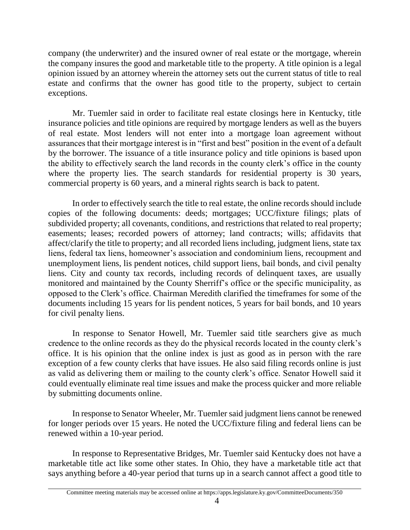company (the underwriter) and the insured owner of real estate or the mortgage, wherein the company insures the good and marketable title to the property. A title opinion is a legal opinion issued by an attorney wherein the attorney sets out the current status of title to real estate and confirms that the owner has good title to the property, subject to certain exceptions.

Mr. Tuemler said in order to facilitate real estate closings here in Kentucky, title insurance policies and title opinions are required by mortgage lenders as well as the buyers of real estate. Most lenders will not enter into a mortgage loan agreement without assurances that their mortgage interest is in "first and best" position in the event of a default by the borrower. The issuance of a title insurance policy and title opinions is based upon the ability to effectively search the land records in the county clerk's office in the county where the property lies. The search standards for residential property is 30 years, commercial property is 60 years, and a mineral rights search is back to patent.

In order to effectively search the title to real estate, the online records should include copies of the following documents: deeds; mortgages; UCC/fixture filings; plats of subdivided property; all covenants, conditions, and restrictions that related to real property; easements; leases; recorded powers of attorney; land contracts; wills; affidavits that affect/clarify the title to property; and all recorded liens including, judgment liens, state tax liens, federal tax liens, homeowner's association and condominium liens, recoupment and unemployment liens, lis pendent notices, child support liens, bail bonds, and civil penalty liens. City and county tax records, including records of delinquent taxes, are usually monitored and maintained by the County Sherriff's office or the specific municipality, as opposed to the Clerk's office. Chairman Meredith clarified the timeframes for some of the documents including 15 years for lis pendent notices, 5 years for bail bonds, and 10 years for civil penalty liens.

In response to Senator Howell, Mr. Tuemler said title searchers give as much credence to the online records as they do the physical records located in the county clerk's office. It is his opinion that the online index is just as good as in person with the rare exception of a few county clerks that have issues. He also said filing records online is just as valid as delivering them or mailing to the county clerk's office. Senator Howell said it could eventually eliminate real time issues and make the process quicker and more reliable by submitting documents online.

In response to Senator Wheeler, Mr. Tuemler said judgment liens cannot be renewed for longer periods over 15 years. He noted the UCC/fixture filing and federal liens can be renewed within a 10-year period.

In response to Representative Bridges, Mr. Tuemler said Kentucky does not have a marketable title act like some other states. In Ohio, they have a marketable title act that says anything before a 40-year period that turns up in a search cannot affect a good title to